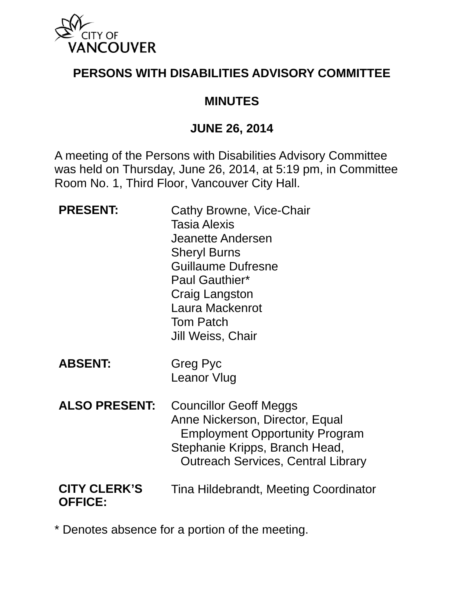

## **PERSONS WITH DISABILITIES ADVISORY COMMITTEE**

### **MINUTES**

### **JUNE 26, 2014**

A meeting of the Persons with Disabilities Advisory Committee was held on Thursday, June 26, 2014, at 5:19 pm, in Committee Room No. 1, Third Floor, Vancouver City Hall.

| <b>PRESENT:</b>                       | Cathy Browne, Vice-Chair<br><b>Tasia Alexis</b><br>Jeanette Andersen<br><b>Sheryl Burns</b><br><b>Guillaume Dufresne</b><br>Paul Gauthier*<br>Craig Langston<br>Laura Mackenrot<br><b>Tom Patch</b><br>Jill Weiss, Chair |
|---------------------------------------|--------------------------------------------------------------------------------------------------------------------------------------------------------------------------------------------------------------------------|
| <b>ABSENT:</b>                        | Greg Pyc<br><b>Leanor Vlug</b>                                                                                                                                                                                           |
| <b>ALSO PRESENT:</b>                  | <b>Councillor Geoff Meggs</b><br>Anne Nickerson, Director, Equal<br><b>Employment Opportunity Program</b><br>Stephanie Kripps, Branch Head,<br><b>Outreach Services, Central Library</b>                                 |
| <b>CITY CLERK'S</b><br><b>OFFICE:</b> | Tina Hildebrandt, Meeting Coordinator                                                                                                                                                                                    |

\* Denotes absence for a portion of the meeting.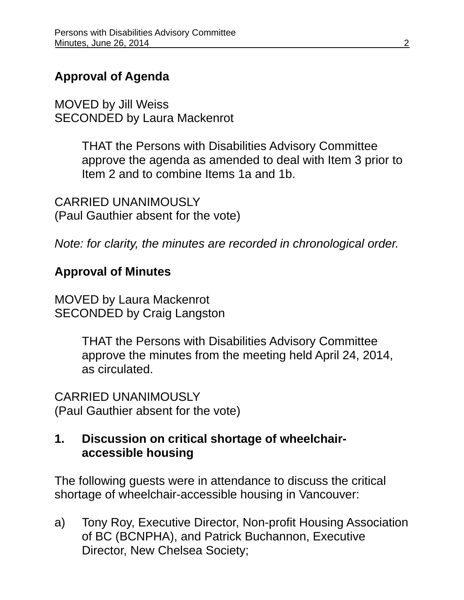# **Approval of Agenda**

MOVED by Jill Weiss SECONDED by Laura Mackenrot

> THAT the Persons with Disabilities Advisory Committee approve the agenda as amended to deal with Item 3 prior to Item 2 and to combine Items 1a and 1b.

CARRIED UNANIMOUSLY (Paul Gauthier absent for the vote)

*Note: for clarity, the minutes are recorded in chronological order.* 

## **Approval of Minutes**

MOVED by Laura Mackenrot SECONDED by Craig Langston

> THAT the Persons with Disabilities Advisory Committee approve the minutes from the meeting held April 24, 2014, as circulated.

CARRIED UNANIMOUSLY (Paul Gauthier absent for the vote)

### **1. Discussion on critical shortage of wheelchairaccessible housing**

The following guests were in attendance to discuss the critical shortage of wheelchair-accessible housing in Vancouver:

a) Tony Roy, Executive Director, Non-profit Housing Association of BC (BCNPHA), and Patrick Buchannon, Executive Director, New Chelsea Society;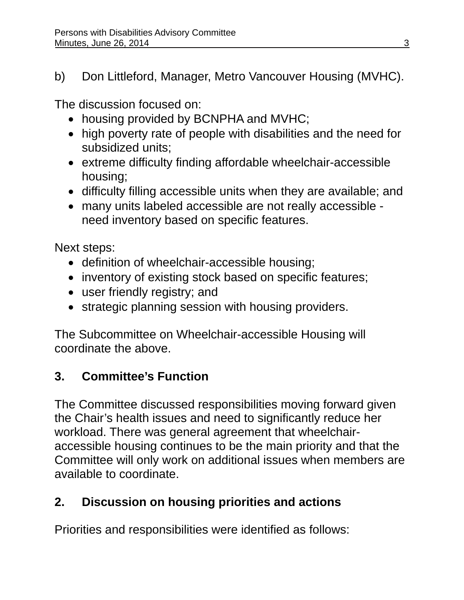b) Don Littleford, Manager, Metro Vancouver Housing (MVHC).

The discussion focused on:

- housing provided by BCNPHA and MVHC;
- high poverty rate of people with disabilities and the need for subsidized units;
- extreme difficulty finding affordable wheelchair-accessible housing;
- difficulty filling accessible units when they are available; and
- many units labeled accessible are not really accessible need inventory based on specific features.

Next steps:

- definition of wheelchair-accessible housing;
- inventory of existing stock based on specific features;
- user friendly registry; and
- strategic planning session with housing providers.

The Subcommittee on Wheelchair-accessible Housing will coordinate the above.

# **3. Committee's Function**

The Committee discussed responsibilities moving forward given the Chair's health issues and need to significantly reduce her workload. There was general agreement that wheelchairaccessible housing continues to be the main priority and that the Committee will only work on additional issues when members are available to coordinate.

# **2. Discussion on housing priorities and actions**

Priorities and responsibilities were identified as follows: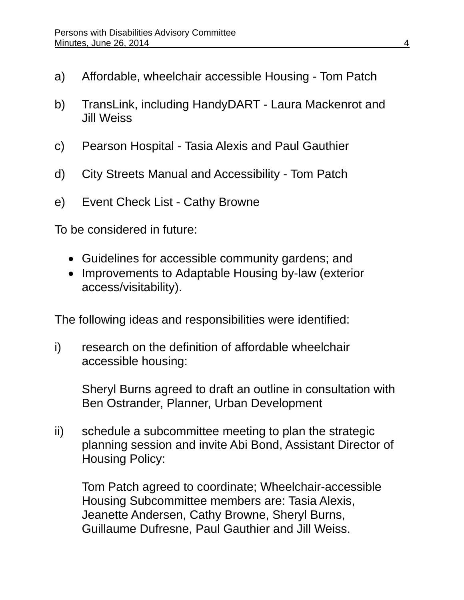- a) Affordable, wheelchair accessible Housing Tom Patch
- b) TransLink, including HandyDART Laura Mackenrot and Jill Weiss
- c) Pearson Hospital Tasia Alexis and Paul Gauthier
- d) City Streets Manual and Accessibility Tom Patch
- e) Event Check List Cathy Browne

To be considered in future:

- Guidelines for accessible community gardens; and
- Improvements to Adaptable Housing by-law (exterior access/visitability).

The following ideas and responsibilities were identified:

i) research on the definition of affordable wheelchair accessible housing:

Sheryl Burns agreed to draft an outline in consultation with Ben Ostrander, Planner, Urban Development

ii) schedule a subcommittee meeting to plan the strategic planning session and invite Abi Bond, Assistant Director of Housing Policy:

Tom Patch agreed to coordinate; Wheelchair-accessible Housing Subcommittee members are: Tasia Alexis, Jeanette Andersen, Cathy Browne, Sheryl Burns, Guillaume Dufresne, Paul Gauthier and Jill Weiss.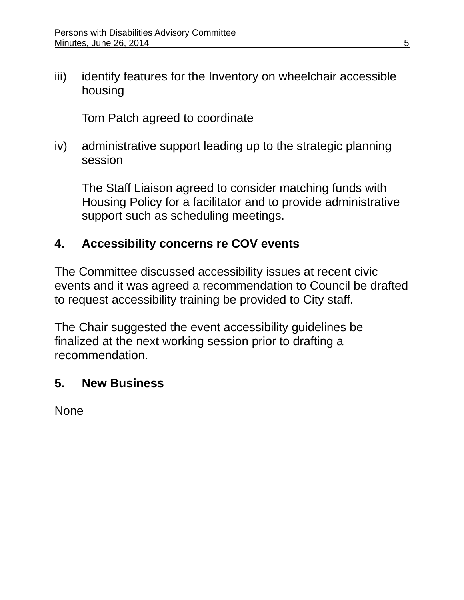iii) identify features for the Inventory on wheelchair accessible housing

Tom Patch agreed to coordinate

iv) administrative support leading up to the strategic planning session

The Staff Liaison agreed to consider matching funds with Housing Policy for a facilitator and to provide administrative support such as scheduling meetings.

## **4. Accessibility concerns re COV events**

The Committee discussed accessibility issues at recent civic events and it was agreed a recommendation to Council be drafted to request accessibility training be provided to City staff.

The Chair suggested the event accessibility guidelines be finalized at the next working session prior to drafting a recommendation.

### **5. New Business**

None